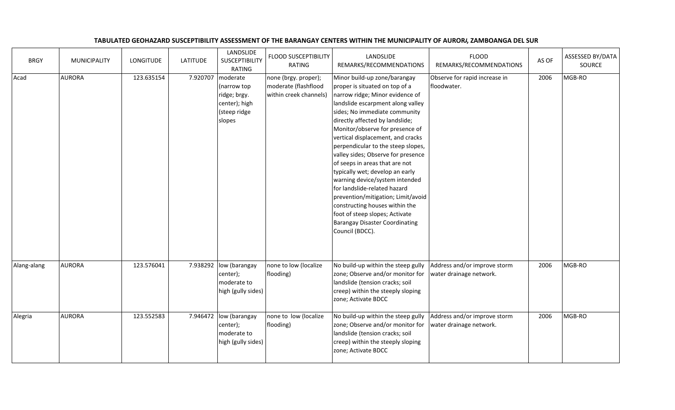## TABULATED GEOHAZARD SUSCEPTIBILITY ASSESSMENT OF THE BARANGAY CENTERS WITHIN THE MUNICIPALITY OF AURORA, ZAMBOANGA DEL SUR

| <b>BRGY</b> | <b>MUNICIPALITY</b> | <b>LONGITUDE</b> | <b>LATITUDE</b> | LANDSLIDE<br><b>SUSCEPTIBILITY</b><br><b>RATING</b>                                | <b>FLOOD SUSCEPTIBILITY</b><br><b>RATING</b>                           | LANDSLIDE<br>REMARKS/RECOMMENDATIONS                                                                                                                                                                                                                                                                                                                                                                                                                                                                                                                                                                                                                                        | <b>FLOOD</b><br>REMARKS/RECOMMENDATIONS                 | AS OF | ASSESSED BY/DATA<br>SOURCE |
|-------------|---------------------|------------------|-----------------|------------------------------------------------------------------------------------|------------------------------------------------------------------------|-----------------------------------------------------------------------------------------------------------------------------------------------------------------------------------------------------------------------------------------------------------------------------------------------------------------------------------------------------------------------------------------------------------------------------------------------------------------------------------------------------------------------------------------------------------------------------------------------------------------------------------------------------------------------------|---------------------------------------------------------|-------|----------------------------|
| Acad        | <b>AURORA</b>       | 123.635154       | 7.920707        | moderate<br>(narrow top<br>ridge; brgy.<br>center); high<br>(steep ridge<br>slopes | none (brgy. proper);<br>moderate (flashflood<br>within creek channels) | Minor build-up zone/barangay<br>proper is situated on top of a<br>narrow ridge; Minor evidence of<br>landslide escarpment along valley<br>sides; No immediate community<br>directly affected by landslide;<br>Monitor/observe for presence of<br>vertical displacement, and cracks<br>perpendicular to the steep slopes,<br>valley sides; Observe for presence<br>of seeps in areas that are not<br>typically wet; develop an early<br>warning device/system intended<br>for landslide-related hazard<br>prevention/mitigation; Limit/avoid<br>constructing houses within the<br>foot of steep slopes; Activate<br><b>Barangay Disaster Coordinating</b><br>Council (BDCC). | Observe for rapid increase in<br>floodwater.            | 2006  | MGB-RO                     |
| Alang-alang | <b>AURORA</b>       | 123.576041       |                 | 7.938292 low (barangay<br>center);<br>moderate to<br>high (gully sides)            | none to low (localize<br>flooding)                                     | No build-up within the steep gully<br>zone; Observe and/or monitor for<br>landslide (tension cracks; soil<br>creep) within the steeply sloping<br>zone; Activate BDCC                                                                                                                                                                                                                                                                                                                                                                                                                                                                                                       | Address and/or improve storm<br>water drainage network. | 2006  | MGB-RO                     |
| Alegria     | <b>AURORA</b>       | 123.552583       |                 | 7.946472 low (barangay<br>center);<br>moderate to<br>high (gully sides)            | none to low (localize<br>flooding)                                     | No build-up within the steep gully<br>zone; Observe and/or monitor for<br>landslide (tension cracks; soil<br>creep) within the steeply sloping<br>zone; Activate BDCC                                                                                                                                                                                                                                                                                                                                                                                                                                                                                                       | Address and/or improve storm<br>water drainage network. | 2006  | MGB-RO                     |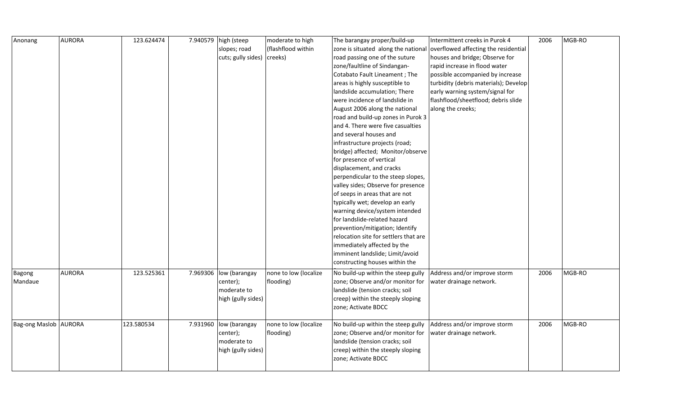| slopes; road<br>(flashflood within<br>zone is situated along the national overflowed affecting the residential<br>cuts; gully sides)  <br>creeks)<br>road passing one of the suture<br>houses and bridge; Observe for<br>zone/faultline of Sindangan-<br>rapid increase in flood water<br>Cotabato Fault Lineament; The<br>possible accompanied by increase<br>areas is highly susceptible to<br>turbidity (debris materials); Develop<br>landslide accumulation; There<br>early warning system/signal for<br>were incidence of landslide in<br>flashflood/sheetflood; debris slide<br>August 2006 along the national<br>along the creeks;<br>road and build-up zones in Purok 3<br>and 4. There were five casualties<br>and several houses and<br>infrastructure projects (road;<br>bridge) affected; Monitor/observe<br>for presence of vertical<br>displacement, and cracks<br>perpendicular to the steep slopes,<br>valley sides; Observe for presence<br>of seeps in areas that are not<br>typically wet; develop an early<br>warning device/system intended<br>for landslide-related hazard<br>prevention/mitigation; Identify<br>relocation site for settlers that are<br>immediately affected by the<br>imminent landslide; Limit/avoid<br>constructing houses within the<br><b>AURORA</b><br>123.525361<br>7.969306<br>low (barangay<br>none to low (localize<br>No build-up within the steep gully<br>Address and/or improve storm<br>2006<br>MGB-RO<br>Bagong<br>Mandaue<br>zone; Observe and/or monitor for<br>water drainage network.<br>center);<br>flooding)<br>moderate to<br>landslide (tension cracks; soil<br>high (gully sides)<br>creep) within the steeply sloping<br>zone; Activate BDCC<br>123.580534<br>MGB-RO<br>Bag-ong Maslob AURORA<br>7.931960 low (barangay<br>none to low (localize<br>Address and/or improve storm<br>2006<br>No build-up within the steep gully | Anonang | <b>AURORA</b> | 123.624474 | 7.940579 high (steep | moderate to high | The barangay proper/build-up     | Intermittent creeks in Purok 4 | 2006 | MGB-RO |
|---------------------------------------------------------------------------------------------------------------------------------------------------------------------------------------------------------------------------------------------------------------------------------------------------------------------------------------------------------------------------------------------------------------------------------------------------------------------------------------------------------------------------------------------------------------------------------------------------------------------------------------------------------------------------------------------------------------------------------------------------------------------------------------------------------------------------------------------------------------------------------------------------------------------------------------------------------------------------------------------------------------------------------------------------------------------------------------------------------------------------------------------------------------------------------------------------------------------------------------------------------------------------------------------------------------------------------------------------------------------------------------------------------------------------------------------------------------------------------------------------------------------------------------------------------------------------------------------------------------------------------------------------------------------------------------------------------------------------------------------------------------------------------------------------------------------------------------------------------------------------------------------------|---------|---------------|------------|----------------------|------------------|----------------------------------|--------------------------------|------|--------|
|                                                                                                                                                                                                                                                                                                                                                                                                                                                                                                                                                                                                                                                                                                                                                                                                                                                                                                                                                                                                                                                                                                                                                                                                                                                                                                                                                                                                                                                                                                                                                                                                                                                                                                                                                                                                                                                                                                   |         |               |            |                      |                  |                                  |                                |      |        |
|                                                                                                                                                                                                                                                                                                                                                                                                                                                                                                                                                                                                                                                                                                                                                                                                                                                                                                                                                                                                                                                                                                                                                                                                                                                                                                                                                                                                                                                                                                                                                                                                                                                                                                                                                                                                                                                                                                   |         |               |            |                      |                  |                                  |                                |      |        |
|                                                                                                                                                                                                                                                                                                                                                                                                                                                                                                                                                                                                                                                                                                                                                                                                                                                                                                                                                                                                                                                                                                                                                                                                                                                                                                                                                                                                                                                                                                                                                                                                                                                                                                                                                                                                                                                                                                   |         |               |            |                      |                  |                                  |                                |      |        |
|                                                                                                                                                                                                                                                                                                                                                                                                                                                                                                                                                                                                                                                                                                                                                                                                                                                                                                                                                                                                                                                                                                                                                                                                                                                                                                                                                                                                                                                                                                                                                                                                                                                                                                                                                                                                                                                                                                   |         |               |            |                      |                  |                                  |                                |      |        |
|                                                                                                                                                                                                                                                                                                                                                                                                                                                                                                                                                                                                                                                                                                                                                                                                                                                                                                                                                                                                                                                                                                                                                                                                                                                                                                                                                                                                                                                                                                                                                                                                                                                                                                                                                                                                                                                                                                   |         |               |            |                      |                  |                                  |                                |      |        |
|                                                                                                                                                                                                                                                                                                                                                                                                                                                                                                                                                                                                                                                                                                                                                                                                                                                                                                                                                                                                                                                                                                                                                                                                                                                                                                                                                                                                                                                                                                                                                                                                                                                                                                                                                                                                                                                                                                   |         |               |            |                      |                  |                                  |                                |      |        |
|                                                                                                                                                                                                                                                                                                                                                                                                                                                                                                                                                                                                                                                                                                                                                                                                                                                                                                                                                                                                                                                                                                                                                                                                                                                                                                                                                                                                                                                                                                                                                                                                                                                                                                                                                                                                                                                                                                   |         |               |            |                      |                  |                                  |                                |      |        |
|                                                                                                                                                                                                                                                                                                                                                                                                                                                                                                                                                                                                                                                                                                                                                                                                                                                                                                                                                                                                                                                                                                                                                                                                                                                                                                                                                                                                                                                                                                                                                                                                                                                                                                                                                                                                                                                                                                   |         |               |            |                      |                  |                                  |                                |      |        |
|                                                                                                                                                                                                                                                                                                                                                                                                                                                                                                                                                                                                                                                                                                                                                                                                                                                                                                                                                                                                                                                                                                                                                                                                                                                                                                                                                                                                                                                                                                                                                                                                                                                                                                                                                                                                                                                                                                   |         |               |            |                      |                  |                                  |                                |      |        |
|                                                                                                                                                                                                                                                                                                                                                                                                                                                                                                                                                                                                                                                                                                                                                                                                                                                                                                                                                                                                                                                                                                                                                                                                                                                                                                                                                                                                                                                                                                                                                                                                                                                                                                                                                                                                                                                                                                   |         |               |            |                      |                  |                                  |                                |      |        |
|                                                                                                                                                                                                                                                                                                                                                                                                                                                                                                                                                                                                                                                                                                                                                                                                                                                                                                                                                                                                                                                                                                                                                                                                                                                                                                                                                                                                                                                                                                                                                                                                                                                                                                                                                                                                                                                                                                   |         |               |            |                      |                  |                                  |                                |      |        |
|                                                                                                                                                                                                                                                                                                                                                                                                                                                                                                                                                                                                                                                                                                                                                                                                                                                                                                                                                                                                                                                                                                                                                                                                                                                                                                                                                                                                                                                                                                                                                                                                                                                                                                                                                                                                                                                                                                   |         |               |            |                      |                  |                                  |                                |      |        |
|                                                                                                                                                                                                                                                                                                                                                                                                                                                                                                                                                                                                                                                                                                                                                                                                                                                                                                                                                                                                                                                                                                                                                                                                                                                                                                                                                                                                                                                                                                                                                                                                                                                                                                                                                                                                                                                                                                   |         |               |            |                      |                  |                                  |                                |      |        |
|                                                                                                                                                                                                                                                                                                                                                                                                                                                                                                                                                                                                                                                                                                                                                                                                                                                                                                                                                                                                                                                                                                                                                                                                                                                                                                                                                                                                                                                                                                                                                                                                                                                                                                                                                                                                                                                                                                   |         |               |            |                      |                  |                                  |                                |      |        |
|                                                                                                                                                                                                                                                                                                                                                                                                                                                                                                                                                                                                                                                                                                                                                                                                                                                                                                                                                                                                                                                                                                                                                                                                                                                                                                                                                                                                                                                                                                                                                                                                                                                                                                                                                                                                                                                                                                   |         |               |            |                      |                  |                                  |                                |      |        |
|                                                                                                                                                                                                                                                                                                                                                                                                                                                                                                                                                                                                                                                                                                                                                                                                                                                                                                                                                                                                                                                                                                                                                                                                                                                                                                                                                                                                                                                                                                                                                                                                                                                                                                                                                                                                                                                                                                   |         |               |            |                      |                  |                                  |                                |      |        |
|                                                                                                                                                                                                                                                                                                                                                                                                                                                                                                                                                                                                                                                                                                                                                                                                                                                                                                                                                                                                                                                                                                                                                                                                                                                                                                                                                                                                                                                                                                                                                                                                                                                                                                                                                                                                                                                                                                   |         |               |            |                      |                  |                                  |                                |      |        |
|                                                                                                                                                                                                                                                                                                                                                                                                                                                                                                                                                                                                                                                                                                                                                                                                                                                                                                                                                                                                                                                                                                                                                                                                                                                                                                                                                                                                                                                                                                                                                                                                                                                                                                                                                                                                                                                                                                   |         |               |            |                      |                  |                                  |                                |      |        |
|                                                                                                                                                                                                                                                                                                                                                                                                                                                                                                                                                                                                                                                                                                                                                                                                                                                                                                                                                                                                                                                                                                                                                                                                                                                                                                                                                                                                                                                                                                                                                                                                                                                                                                                                                                                                                                                                                                   |         |               |            |                      |                  |                                  |                                |      |        |
|                                                                                                                                                                                                                                                                                                                                                                                                                                                                                                                                                                                                                                                                                                                                                                                                                                                                                                                                                                                                                                                                                                                                                                                                                                                                                                                                                                                                                                                                                                                                                                                                                                                                                                                                                                                                                                                                                                   |         |               |            |                      |                  |                                  |                                |      |        |
|                                                                                                                                                                                                                                                                                                                                                                                                                                                                                                                                                                                                                                                                                                                                                                                                                                                                                                                                                                                                                                                                                                                                                                                                                                                                                                                                                                                                                                                                                                                                                                                                                                                                                                                                                                                                                                                                                                   |         |               |            |                      |                  |                                  |                                |      |        |
|                                                                                                                                                                                                                                                                                                                                                                                                                                                                                                                                                                                                                                                                                                                                                                                                                                                                                                                                                                                                                                                                                                                                                                                                                                                                                                                                                                                                                                                                                                                                                                                                                                                                                                                                                                                                                                                                                                   |         |               |            |                      |                  |                                  |                                |      |        |
|                                                                                                                                                                                                                                                                                                                                                                                                                                                                                                                                                                                                                                                                                                                                                                                                                                                                                                                                                                                                                                                                                                                                                                                                                                                                                                                                                                                                                                                                                                                                                                                                                                                                                                                                                                                                                                                                                                   |         |               |            |                      |                  |                                  |                                |      |        |
|                                                                                                                                                                                                                                                                                                                                                                                                                                                                                                                                                                                                                                                                                                                                                                                                                                                                                                                                                                                                                                                                                                                                                                                                                                                                                                                                                                                                                                                                                                                                                                                                                                                                                                                                                                                                                                                                                                   |         |               |            |                      |                  |                                  |                                |      |        |
|                                                                                                                                                                                                                                                                                                                                                                                                                                                                                                                                                                                                                                                                                                                                                                                                                                                                                                                                                                                                                                                                                                                                                                                                                                                                                                                                                                                                                                                                                                                                                                                                                                                                                                                                                                                                                                                                                                   |         |               |            |                      |                  |                                  |                                |      |        |
|                                                                                                                                                                                                                                                                                                                                                                                                                                                                                                                                                                                                                                                                                                                                                                                                                                                                                                                                                                                                                                                                                                                                                                                                                                                                                                                                                                                                                                                                                                                                                                                                                                                                                                                                                                                                                                                                                                   |         |               |            |                      |                  |                                  |                                |      |        |
|                                                                                                                                                                                                                                                                                                                                                                                                                                                                                                                                                                                                                                                                                                                                                                                                                                                                                                                                                                                                                                                                                                                                                                                                                                                                                                                                                                                                                                                                                                                                                                                                                                                                                                                                                                                                                                                                                                   |         |               |            |                      |                  |                                  |                                |      |        |
|                                                                                                                                                                                                                                                                                                                                                                                                                                                                                                                                                                                                                                                                                                                                                                                                                                                                                                                                                                                                                                                                                                                                                                                                                                                                                                                                                                                                                                                                                                                                                                                                                                                                                                                                                                                                                                                                                                   |         |               |            | center);             | flooding)        | zone; Observe and/or monitor for | water drainage network.        |      |        |
| moderate to<br>landslide (tension cracks; soil<br>high (gully sides)<br>creep) within the steeply sloping<br>zone; Activate BDCC                                                                                                                                                                                                                                                                                                                                                                                                                                                                                                                                                                                                                                                                                                                                                                                                                                                                                                                                                                                                                                                                                                                                                                                                                                                                                                                                                                                                                                                                                                                                                                                                                                                                                                                                                                  |         |               |            |                      |                  |                                  |                                |      |        |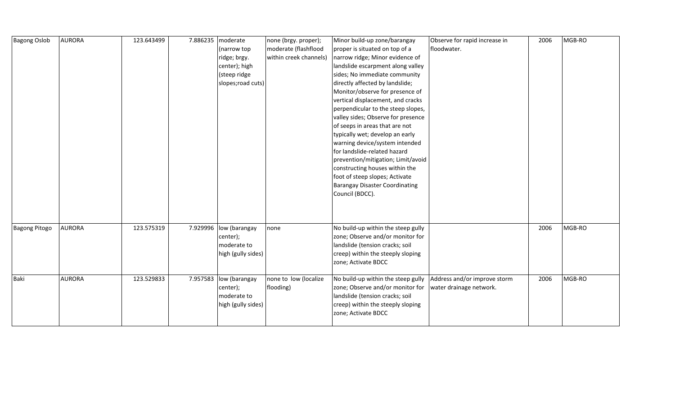| <b>Bagong Oslob</b>  | <b>AURORA</b> | 123.643499 | 7.886235 | moderate<br>(narrow top<br>ridge; brgy.<br>center); high<br>(steep ridge<br>slopes; road cuts) | none (brgy. proper);<br>moderate (flashflood<br>within creek channels) | Minor build-up zone/barangay<br>proper is situated on top of a<br>narrow ridge; Minor evidence of<br>landslide escarpment along valley<br>sides; No immediate community<br>directly affected by landslide;<br>Monitor/observe for presence of<br>vertical displacement, and cracks<br>perpendicular to the steep slopes,<br>valley sides; Observe for presence<br>of seeps in areas that are not<br>typically wet; develop an early | Observe for rapid increase in<br>floodwater.            | 2006 | MGB-RO |
|----------------------|---------------|------------|----------|------------------------------------------------------------------------------------------------|------------------------------------------------------------------------|-------------------------------------------------------------------------------------------------------------------------------------------------------------------------------------------------------------------------------------------------------------------------------------------------------------------------------------------------------------------------------------------------------------------------------------|---------------------------------------------------------|------|--------|
|                      |               |            |          |                                                                                                |                                                                        | warning device/system intended<br>for landslide-related hazard<br>prevention/mitigation; Limit/avoid<br>constructing houses within the<br>foot of steep slopes; Activate<br><b>Barangay Disaster Coordinating</b><br>Council (BDCC).                                                                                                                                                                                                |                                                         |      |        |
| <b>Bagong Pitogo</b> | <b>AURORA</b> | 123.575319 |          | 7.929996 low (barangay<br>center);<br>moderate to<br>high (gully sides)                        | none                                                                   | No build-up within the steep gully<br>zone; Observe and/or monitor for<br>landslide (tension cracks; soil<br>creep) within the steeply sloping<br>zone; Activate BDCC                                                                                                                                                                                                                                                               |                                                         | 2006 | MGB-RO |
| Baki                 | <b>AURORA</b> | 123.529833 | 7.957583 | low (barangay<br>center);<br>moderate to<br>high (gully sides)                                 | none to low (localize<br>flooding)                                     | No build-up within the steep gully<br>zone; Observe and/or monitor for<br>landslide (tension cracks; soil<br>creep) within the steeply sloping<br>zone; Activate BDCC                                                                                                                                                                                                                                                               | Address and/or improve storm<br>water drainage network. | 2006 | MGB-RO |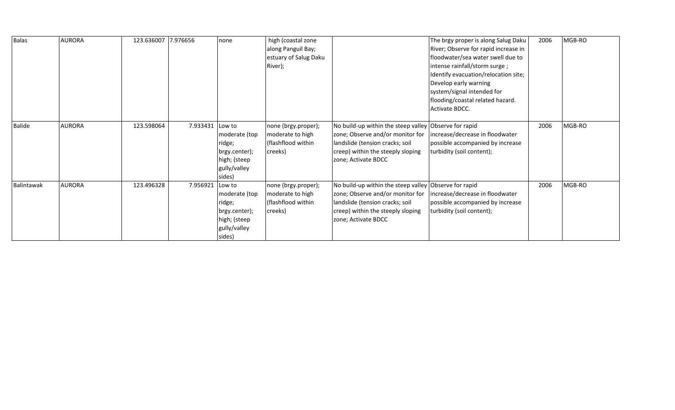| Balas      | <b>AURORA</b> | 123.636007 7.976656 |          | none          | high (coastal zone<br>along Panguil Bay; |                                     | The brgy proper is along Salug Daku<br>River; Observe for rapid increase in | 2006 | MGB-RO |
|------------|---------------|---------------------|----------|---------------|------------------------------------------|-------------------------------------|-----------------------------------------------------------------------------|------|--------|
|            |               |                     |          |               |                                          |                                     |                                                                             |      |        |
|            |               |                     |          |               | estuary of Salug Daku                    |                                     | floodwater/sea water swell due to                                           |      |        |
|            |               |                     |          |               | River);                                  |                                     | intense rainfall/storm surge;                                               |      |        |
|            |               |                     |          |               |                                          |                                     | Identify evacuation/relocation site;                                        |      |        |
|            |               |                     |          |               |                                          |                                     | Develop early warning                                                       |      |        |
|            |               |                     |          |               |                                          |                                     | system/signal intended for                                                  |      |        |
|            |               |                     |          |               |                                          |                                     | flooding/coastal related hazard.                                            |      |        |
|            |               |                     |          |               |                                          |                                     | Activate BDCC.                                                              |      |        |
|            |               |                     |          |               |                                          |                                     |                                                                             |      |        |
| Balide     | <b>AURORA</b> | 123.598064          | 7.933431 | Low to        | none (brgy.proper);                      | No build-up within the steep valley | Observe for rapid                                                           | 2006 | MGB-RO |
|            |               |                     |          | moderate (top | moderate to high                         | zone; Observe and/or monitor for    | increase/decrease in floodwater                                             |      |        |
|            |               |                     |          | ridge;        | (flashflood within                       | landslide (tension cracks; soil     | possible accompanied by increase                                            |      |        |
|            |               |                     |          | brgy.center); | creeks)                                  | creep) within the steeply sloping   | turbidity (soil content);                                                   |      |        |
|            |               |                     |          | high; (steep  |                                          | zone; Activate BDCC                 |                                                                             |      |        |
|            |               |                     |          | gully/valley  |                                          |                                     |                                                                             |      |        |
|            |               |                     |          | sides)        |                                          |                                     |                                                                             |      |        |
| Balintawak | <b>AURORA</b> | 123.496328          | 7.956921 | Low to        | none (brgy.proper);                      | No build-up within the steep valley | Observe for rapid                                                           | 2006 | MGB-RO |
|            |               |                     |          | moderate (top | moderate to high                         | zone; Observe and/or monitor for    | increase/decrease in floodwater                                             |      |        |
|            |               |                     |          | ridge;        | (flashflood within                       | landslide (tension cracks; soil     | possible accompanied by increase                                            |      |        |
|            |               |                     |          | brgy.center); | creeks)                                  | creep) within the steeply sloping   | turbidity (soil content);                                                   |      |        |
|            |               |                     |          | high; (steep  |                                          | zone; Activate BDCC                 |                                                                             |      |        |
|            |               |                     |          | gully/valley  |                                          |                                     |                                                                             |      |        |
|            |               |                     |          | sides)        |                                          |                                     |                                                                             |      |        |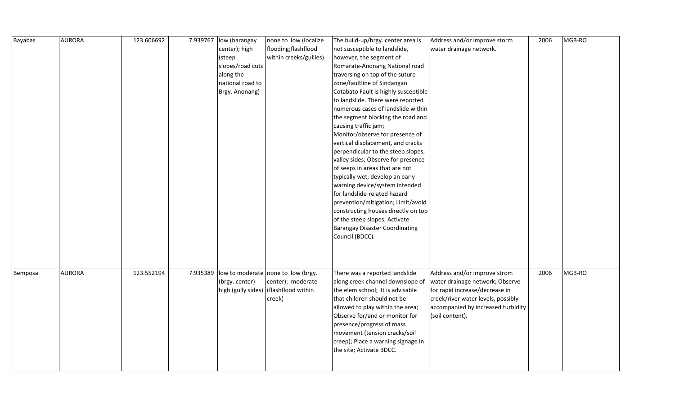| <b>Bayabas</b> | <b>AURORA</b> | 123.606692 |          | 7.939767   low (barangay | none to low (localize                 | The build-up/brgy. center area is     | Address and/or improve storm       | 2006 | MGB-RO |
|----------------|---------------|------------|----------|--------------------------|---------------------------------------|---------------------------------------|------------------------------------|------|--------|
|                |               |            |          | center); high            | flooding;flashflood                   | not susceptible to landslide,         | water drainage network.            |      |        |
|                |               |            |          | (steep                   | within creeks/gullies)                | however, the segment of               |                                    |      |        |
|                |               |            |          | slopes/road cuts         |                                       | Romarate-Anonang National road        |                                    |      |        |
|                |               |            |          | along the                |                                       | traversing on top of the suture       |                                    |      |        |
|                |               |            |          | national road to         |                                       | zone/faultline of Sindangan           |                                    |      |        |
|                |               |            |          | Brgy. Anonang)           |                                       | Cotabato Fault is highly susceptible  |                                    |      |        |
|                |               |            |          |                          |                                       | to landslide. There were reported     |                                    |      |        |
|                |               |            |          |                          |                                       | numerous cases of landslide within    |                                    |      |        |
|                |               |            |          |                          |                                       | the segment blocking the road and     |                                    |      |        |
|                |               |            |          |                          |                                       | causing traffic jam;                  |                                    |      |        |
|                |               |            |          |                          |                                       | Monitor/observe for presence of       |                                    |      |        |
|                |               |            |          |                          |                                       | vertical displacement, and cracks     |                                    |      |        |
|                |               |            |          |                          |                                       | perpendicular to the steep slopes,    |                                    |      |        |
|                |               |            |          |                          |                                       | valley sides; Observe for presence    |                                    |      |        |
|                |               |            |          |                          |                                       | of seeps in areas that are not        |                                    |      |        |
|                |               |            |          |                          |                                       | typically wet; develop an early       |                                    |      |        |
|                |               |            |          |                          |                                       | warning device/system intended        |                                    |      |        |
|                |               |            |          |                          |                                       | for landslide-related hazard          |                                    |      |        |
|                |               |            |          |                          |                                       | prevention/mitigation; Limit/avoid    |                                    |      |        |
|                |               |            |          |                          |                                       | constructing houses directly on top   |                                    |      |        |
|                |               |            |          |                          |                                       | of the steep slopes; Activate         |                                    |      |        |
|                |               |            |          |                          |                                       | <b>Barangay Disaster Coordinating</b> |                                    |      |        |
|                |               |            |          |                          |                                       | Council (BDCC).                       |                                    |      |        |
|                |               |            |          |                          |                                       |                                       |                                    |      |        |
|                |               |            |          |                          |                                       |                                       |                                    |      |        |
|                |               |            |          |                          |                                       |                                       |                                    |      |        |
| Bemposa        | <b>AURORA</b> | 123.552194 | 7.935389 |                          | low to moderate none to low (brgy.    | There was a reported landslide        | Address and/or improve strom       | 2006 | MGB-RO |
|                |               |            |          | (brgy. center)           | center); moderate                     | along creek channel downslope of      | water drainage network; Observe    |      |        |
|                |               |            |          |                          | high (gully sides) (flashflood within | the elem school; It is advisable      | for rapid increase/decrease in     |      |        |
|                |               |            |          |                          | creek)                                | that children should not be           | creek/river water levels, possibly |      |        |
|                |               |            |          |                          |                                       | allowed to play within the area;      | accompanied by increased turbidity |      |        |
|                |               |            |          |                          |                                       | Observe for/and or monitor for        | (soil content).                    |      |        |
|                |               |            |          |                          |                                       | presence/progress of mass             |                                    |      |        |
|                |               |            |          |                          |                                       | movement (tension cracks/soil         |                                    |      |        |
|                |               |            |          |                          |                                       | creep); Place a warning signage in    |                                    |      |        |
|                |               |            |          |                          |                                       | the site; Activate BDCC.              |                                    |      |        |
|                |               |            |          |                          |                                       |                                       |                                    |      |        |
|                |               |            |          |                          |                                       |                                       |                                    |      |        |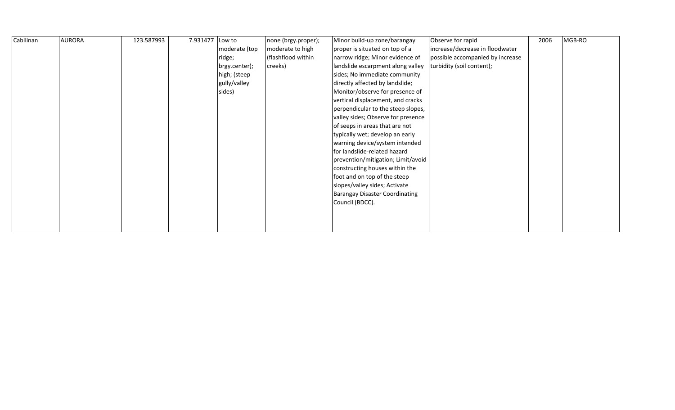| Cabilinan | <b>AURORA</b> | 123.587993 | 7.931477 | Low to        | none (brgy.proper); | Minor build-up zone/barangay          | Observe for rapid                | 2006 | MGB-RO |
|-----------|---------------|------------|----------|---------------|---------------------|---------------------------------------|----------------------------------|------|--------|
|           |               |            |          | moderate (top | moderate to high    | proper is situated on top of a        | increase/decrease in floodwater  |      |        |
|           |               |            |          | ridge;        | (flashflood within  | narrow ridge; Minor evidence of       | possible accompanied by increase |      |        |
|           |               |            |          | brgy.center); | creeks)             | landslide escarpment along valley     | turbidity (soil content);        |      |        |
|           |               |            |          | high; (steep  |                     | sides; No immediate community         |                                  |      |        |
|           |               |            |          | gully/valley  |                     | directly affected by landslide;       |                                  |      |        |
|           |               |            |          | sides)        |                     | Monitor/observe for presence of       |                                  |      |        |
|           |               |            |          |               |                     | vertical displacement, and cracks     |                                  |      |        |
|           |               |            |          |               |                     | perpendicular to the steep slopes,    |                                  |      |        |
|           |               |            |          |               |                     | valley sides; Observe for presence    |                                  |      |        |
|           |               |            |          |               |                     | of seeps in areas that are not        |                                  |      |        |
|           |               |            |          |               |                     | typically wet; develop an early       |                                  |      |        |
|           |               |            |          |               |                     | warning device/system intended        |                                  |      |        |
|           |               |            |          |               |                     | for landslide-related hazard          |                                  |      |        |
|           |               |            |          |               |                     | prevention/mitigation; Limit/avoid    |                                  |      |        |
|           |               |            |          |               |                     | constructing houses within the        |                                  |      |        |
|           |               |            |          |               |                     | foot and on top of the steep          |                                  |      |        |
|           |               |            |          |               |                     | slopes/valley sides; Activate         |                                  |      |        |
|           |               |            |          |               |                     | <b>Barangay Disaster Coordinating</b> |                                  |      |        |
|           |               |            |          |               |                     | Council (BDCC).                       |                                  |      |        |
|           |               |            |          |               |                     |                                       |                                  |      |        |
|           |               |            |          |               |                     |                                       |                                  |      |        |
|           |               |            |          |               |                     |                                       |                                  |      |        |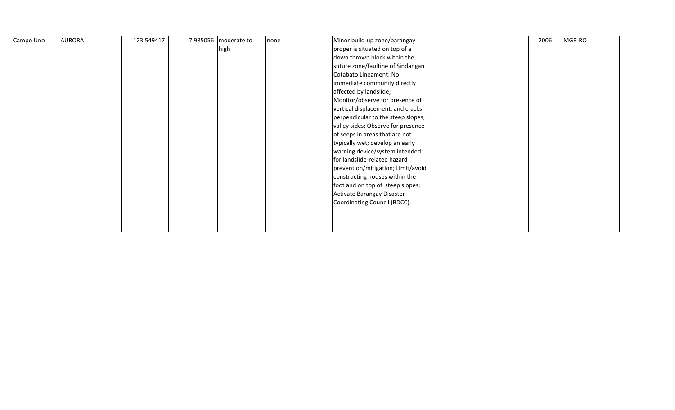| Campo Uno | <b>AURORA</b> | 123.549417 | 7.985056   moderate to | none | Minor build-up zone/barangay       | 2006 | MGB-RO |
|-----------|---------------|------------|------------------------|------|------------------------------------|------|--------|
|           |               |            | high                   |      | proper is situated on top of a     |      |        |
|           |               |            |                        |      | down thrown block within the       |      |        |
|           |               |            |                        |      | suture zone/faultine of Sindangan  |      |        |
|           |               |            |                        |      | Cotabato Lineament; No             |      |        |
|           |               |            |                        |      | immediate community directly       |      |        |
|           |               |            |                        |      | affected by landslide;             |      |        |
|           |               |            |                        |      | Monitor/observe for presence of    |      |        |
|           |               |            |                        |      | vertical displacement, and cracks  |      |        |
|           |               |            |                        |      | perpendicular to the steep slopes, |      |        |
|           |               |            |                        |      | valley sides; Observe for presence |      |        |
|           |               |            |                        |      | of seeps in areas that are not     |      |        |
|           |               |            |                        |      | typically wet; develop an early    |      |        |
|           |               |            |                        |      | warning device/system intended     |      |        |
|           |               |            |                        |      | for landslide-related hazard       |      |        |
|           |               |            |                        |      | prevention/mitigation; Limit/avoid |      |        |
|           |               |            |                        |      | constructing houses within the     |      |        |
|           |               |            |                        |      | foot and on top of steep slopes;   |      |        |
|           |               |            |                        |      | Activate Barangay Disaster         |      |        |
|           |               |            |                        |      | Coordinating Council (BDCC).       |      |        |
|           |               |            |                        |      |                                    |      |        |
|           |               |            |                        |      |                                    |      |        |
|           |               |            |                        |      |                                    |      |        |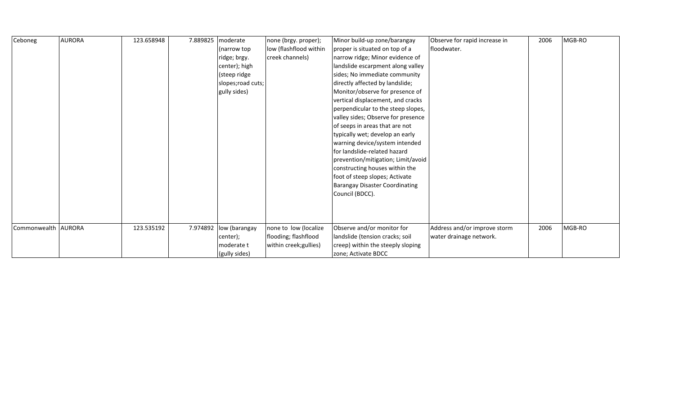| Ceboneg               | <b>AURORA</b> | 123.658948 | 7.889825 | moderate               | none (brgy. proper);   | Minor build-up zone/barangay          | Observe for rapid increase in | 2006 | MGB-RO |
|-----------------------|---------------|------------|----------|------------------------|------------------------|---------------------------------------|-------------------------------|------|--------|
|                       |               |            |          | (narrow top            | low (flashflood within | proper is situated on top of a        | floodwater.                   |      |        |
|                       |               |            |          | ridge; brgy.           | creek channels)        | narrow ridge; Minor evidence of       |                               |      |        |
|                       |               |            |          | center); high          |                        | landslide escarpment along valley     |                               |      |        |
|                       |               |            |          | (steep ridge           |                        | sides; No immediate community         |                               |      |        |
|                       |               |            |          | slopes; road cuts;     |                        | directly affected by landslide;       |                               |      |        |
|                       |               |            |          | gully sides)           |                        | Monitor/observe for presence of       |                               |      |        |
|                       |               |            |          |                        |                        | vertical displacement, and cracks     |                               |      |        |
|                       |               |            |          |                        |                        | perpendicular to the steep slopes,    |                               |      |        |
|                       |               |            |          |                        |                        | valley sides; Observe for presence    |                               |      |        |
|                       |               |            |          |                        |                        | of seeps in areas that are not        |                               |      |        |
|                       |               |            |          |                        |                        | typically wet; develop an early       |                               |      |        |
|                       |               |            |          |                        |                        | warning device/system intended        |                               |      |        |
|                       |               |            |          |                        |                        | for landslide-related hazard          |                               |      |        |
|                       |               |            |          |                        |                        | prevention/mitigation; Limit/avoid    |                               |      |        |
|                       |               |            |          |                        |                        | constructing houses within the        |                               |      |        |
|                       |               |            |          |                        |                        | foot of steep slopes; Activate        |                               |      |        |
|                       |               |            |          |                        |                        | <b>Barangay Disaster Coordinating</b> |                               |      |        |
|                       |               |            |          |                        |                        | Council (BDCC).                       |                               |      |        |
|                       |               |            |          |                        |                        |                                       |                               |      |        |
|                       |               |            |          |                        |                        |                                       |                               |      |        |
|                       |               |            |          |                        |                        |                                       |                               |      |        |
| Commonwealth   AURORA |               | 123.535192 |          | 7.974892 low (barangay | none to low (localize  | Observe and/or monitor for            | Address and/or improve storm  | 2006 | MGB-RO |
|                       |               |            |          | center);               | flooding; flashflood   | landslide (tension cracks; soil       | water drainage network.       |      |        |
|                       |               |            |          | moderate t             | within creek; gullies) | creep) within the steeply sloping     |                               |      |        |
|                       |               |            |          | (gully sides)          |                        | zone; Activate BDCC                   |                               |      |        |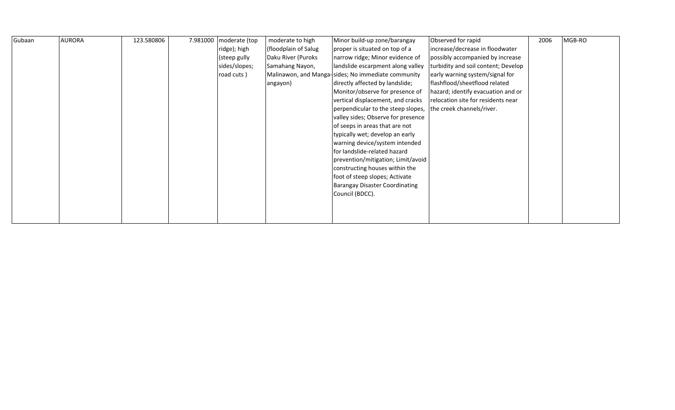| Gubaan | <b>AURORA</b> | 123.580806 | 7.981000   moderate (top | moderate to high     | Minor build-up zone/barangay                       | Observed for rapid                  | 2006 | MGB-RO |
|--------|---------------|------------|--------------------------|----------------------|----------------------------------------------------|-------------------------------------|------|--------|
|        |               |            | ridge); high             | (floodplain of Salug | proper is situated on top of a                     | increase/decrease in floodwater     |      |        |
|        |               |            | (steep gully             | Daku River (Puroks   | narrow ridge; Minor evidence of                    | possibly accompanied by increase    |      |        |
|        |               |            | sides/slopes;            | Samahang Nayon,      | landslide escarpment along valley                  | turbidity and soil content; Develop |      |        |
|        |               |            | road cuts)               |                      | Malinawon, and Manga-sides; No immediate community | early warning system/signal for     |      |        |
|        |               |            |                          | angayon)             | directly affected by landslide;                    | flashflood/sheetflood related       |      |        |
|        |               |            |                          |                      | Monitor/observe for presence of                    | hazard; identify evacuation and or  |      |        |
|        |               |            |                          |                      | vertical displacement, and cracks                  | relocation site for residents near  |      |        |
|        |               |            |                          |                      | perpendicular to the steep slopes,                 | the creek channels/river.           |      |        |
|        |               |            |                          |                      | valley sides; Observe for presence                 |                                     |      |        |
|        |               |            |                          |                      | of seeps in areas that are not                     |                                     |      |        |
|        |               |            |                          |                      | typically wet; develop an early                    |                                     |      |        |
|        |               |            |                          |                      | warning device/system intended                     |                                     |      |        |
|        |               |            |                          |                      | for landslide-related hazard                       |                                     |      |        |
|        |               |            |                          |                      | prevention/mitigation; Limit/avoid                 |                                     |      |        |
|        |               |            |                          |                      | constructing houses within the                     |                                     |      |        |
|        |               |            |                          |                      | foot of steep slopes; Activate                     |                                     |      |        |
|        |               |            |                          |                      | <b>Barangay Disaster Coordinating</b>              |                                     |      |        |
|        |               |            |                          |                      | Council (BDCC).                                    |                                     |      |        |
|        |               |            |                          |                      |                                                    |                                     |      |        |
|        |               |            |                          |                      |                                                    |                                     |      |        |
|        |               |            |                          |                      |                                                    |                                     |      |        |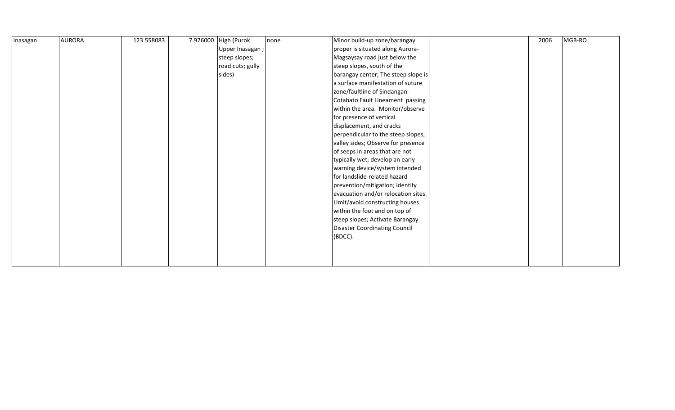| Inasagan | <b>AURORA</b> | 123.558083 | 7.976000 High (Purok | none | Minor build-up zone/barangay         | 2006 | MGB-RO |
|----------|---------------|------------|----------------------|------|--------------------------------------|------|--------|
|          |               |            | Upper Inasagan;      |      | proper is situated along Aurora-     |      |        |
|          |               |            | steep slopes;        |      | Magsaysay road just below the        |      |        |
|          |               |            | road cuts; gully     |      | steep slopes, south of the           |      |        |
|          |               |            | sides)               |      | barangay center; The steep slope is  |      |        |
|          |               |            |                      |      | a surface manifestation of suture    |      |        |
|          |               |            |                      |      | zone/faultline of Sindangan-         |      |        |
|          |               |            |                      |      | Cotabato Fault Lineament passing     |      |        |
|          |               |            |                      |      | within the area. Monitor/observe     |      |        |
|          |               |            |                      |      | for presence of vertical             |      |        |
|          |               |            |                      |      | displacement, and cracks             |      |        |
|          |               |            |                      |      | perpendicular to the steep slopes,   |      |        |
|          |               |            |                      |      | valley sides; Observe for presence   |      |        |
|          |               |            |                      |      | of seeps in areas that are not       |      |        |
|          |               |            |                      |      | typically wet; develop an early      |      |        |
|          |               |            |                      |      | warning device/system intended       |      |        |
|          |               |            |                      |      | for landslide-related hazard         |      |        |
|          |               |            |                      |      | prevention/mitigation; Identify      |      |        |
|          |               |            |                      |      | evacuation and/or relocation sites.  |      |        |
|          |               |            |                      |      | Limit/avoid constructing houses      |      |        |
|          |               |            |                      |      | within the foot and on top of        |      |        |
|          |               |            |                      |      | steep slopes; Activate Barangay      |      |        |
|          |               |            |                      |      | <b>Disaster Coordinating Council</b> |      |        |
|          |               |            |                      |      | (BDCC).                              |      |        |
|          |               |            |                      |      |                                      |      |        |
|          |               |            |                      |      |                                      |      |        |
|          |               |            |                      |      |                                      |      |        |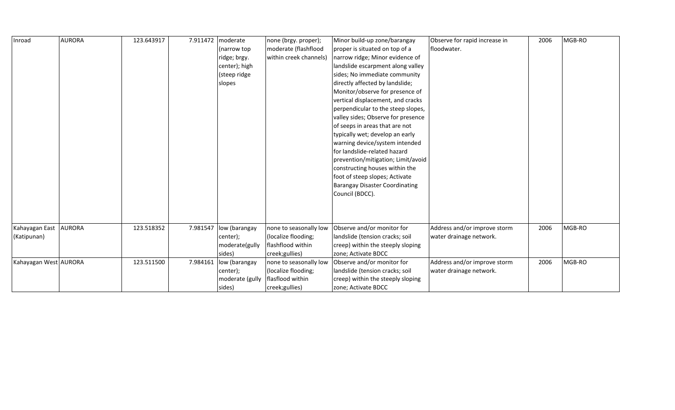| Inroad                | <b>AURORA</b> | 123.643917 | 7.911472 | moderate        | none (brgy. proper);   | Minor build-up zone/barangay          | Observe for rapid increase in | 2006 | MGB-RO |
|-----------------------|---------------|------------|----------|-----------------|------------------------|---------------------------------------|-------------------------------|------|--------|
|                       |               |            |          | (narrow top     | moderate (flashflood   | proper is situated on top of a        | floodwater.                   |      |        |
|                       |               |            |          | ridge; brgy.    | within creek channels) | narrow ridge; Minor evidence of       |                               |      |        |
|                       |               |            |          | center); high   |                        | landslide escarpment along valley     |                               |      |        |
|                       |               |            |          | (steep ridge    |                        | sides; No immediate community         |                               |      |        |
|                       |               |            |          | slopes          |                        | directly affected by landslide;       |                               |      |        |
|                       |               |            |          |                 |                        | Monitor/observe for presence of       |                               |      |        |
|                       |               |            |          |                 |                        | vertical displacement, and cracks     |                               |      |        |
|                       |               |            |          |                 |                        | perpendicular to the steep slopes,    |                               |      |        |
|                       |               |            |          |                 |                        | valley sides; Observe for presence    |                               |      |        |
|                       |               |            |          |                 |                        | of seeps in areas that are not        |                               |      |        |
|                       |               |            |          |                 |                        | typically wet; develop an early       |                               |      |        |
|                       |               |            |          |                 |                        | warning device/system intended        |                               |      |        |
|                       |               |            |          |                 |                        | for landslide-related hazard          |                               |      |        |
|                       |               |            |          |                 |                        | prevention/mitigation; Limit/avoid    |                               |      |        |
|                       |               |            |          |                 |                        | constructing houses within the        |                               |      |        |
|                       |               |            |          |                 |                        | foot of steep slopes; Activate        |                               |      |        |
|                       |               |            |          |                 |                        | <b>Barangay Disaster Coordinating</b> |                               |      |        |
|                       |               |            |          |                 |                        | Council (BDCC).                       |                               |      |        |
|                       |               |            |          |                 |                        |                                       |                               |      |        |
|                       |               |            |          |                 |                        |                                       |                               |      |        |
|                       |               |            |          |                 |                        |                                       |                               |      |        |
| Kahayagan East        | <b>AURORA</b> | 123.518352 | 7.981547 | low (barangay   | none to seasonally low | Observe and/or monitor for            | Address and/or improve storm  | 2006 | MGB-RO |
| (Katipunan)           |               |            |          | center);        | (localize flooding;    | landslide (tension cracks; soil       | water drainage network.       |      |        |
|                       |               |            |          | moderate(gully  | flashflood within      | creep) within the steeply sloping     |                               |      |        |
|                       |               |            |          | sides)          | creek;gullies)         | zone; Activate BDCC                   |                               |      |        |
| Kahayagan West AURORA |               | 123.511500 | 7.984161 | low (barangay   | none to seasonally low | Observe and/or monitor for            | Address and/or improve storm  | 2006 | MGB-RO |
|                       |               |            |          | center);        | (localize flooding;    | landslide (tension cracks; soil       | water drainage network.       |      |        |
|                       |               |            |          | moderate (gully | flasflood within       | creep) within the steeply sloping     |                               |      |        |
|                       |               |            |          | sides)          | creek;gullies)         | zone; Activate BDCC                   |                               |      |        |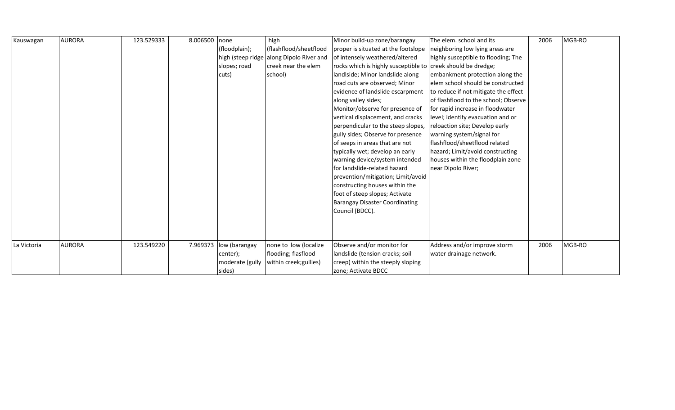| Kauswagan   | <b>AURORA</b> | 123.529333 | 8.006500 none |                        | high                                     | Minor build-up zone/barangay                                 | The elem. school and its             | 2006 | MGB-RO |
|-------------|---------------|------------|---------------|------------------------|------------------------------------------|--------------------------------------------------------------|--------------------------------------|------|--------|
|             |               |            |               | (floodplain);          | (flashflood/sheetflood                   | proper is situated at the footslope                          | neighboring low lying areas are      |      |        |
|             |               |            |               |                        | high (steep ridge along Dipolo River and | of intensely weathered/altered                               | highly susceptible to flooding; The  |      |        |
|             |               |            |               | slopes; road           | creek near the elem                      | rocks which is highly susceptible to creek should be dredge; |                                      |      |        |
|             |               |            |               | cuts)                  | school)                                  | landIside; Minor landslide along                             | embankment protection along the      |      |        |
|             |               |            |               |                        |                                          | road cuts are observed; Minor                                | elem school should be constructed    |      |        |
|             |               |            |               |                        |                                          | evidence of landslide escarpment                             | to reduce if not mitigate the effect |      |        |
|             |               |            |               |                        |                                          | along valley sides;                                          | of flashflood to the school; Observe |      |        |
|             |               |            |               |                        |                                          | Monitor/observe for presence of                              | for rapid increase in floodwater     |      |        |
|             |               |            |               |                        |                                          | vertical displacement, and cracks                            | level; identify evacuation and or    |      |        |
|             |               |            |               |                        |                                          | perpendicular to the steep slopes,                           | reloaction site; Develop early       |      |        |
|             |               |            |               |                        |                                          | gully sides; Observe for presence                            | warning system/signal for            |      |        |
|             |               |            |               |                        |                                          | of seeps in areas that are not                               | flashflood/sheetflood related        |      |        |
|             |               |            |               |                        |                                          | typically wet; develop an early                              | hazard; Limit/avoid constructing     |      |        |
|             |               |            |               |                        |                                          | warning device/system intended                               | houses within the floodplain zone    |      |        |
|             |               |            |               |                        |                                          | Ifor landslide-related hazard                                | near Dipolo River;                   |      |        |
|             |               |            |               |                        |                                          | prevention/mitigation; Limit/avoid                           |                                      |      |        |
|             |               |            |               |                        |                                          | constructing houses within the                               |                                      |      |        |
|             |               |            |               |                        |                                          | foot of steep slopes; Activate                               |                                      |      |        |
|             |               |            |               |                        |                                          | <b>Barangay Disaster Coordinating</b>                        |                                      |      |        |
|             |               |            |               |                        |                                          | Council (BDCC).                                              |                                      |      |        |
|             |               |            |               |                        |                                          |                                                              |                                      |      |        |
|             |               |            |               |                        |                                          |                                                              |                                      |      |        |
|             |               |            |               |                        |                                          |                                                              |                                      |      |        |
| La Victoria | <b>AURORA</b> | 123.549220 |               | 7.969373 low (barangay | none to low (localize                    | Observe and/or monitor for                                   | Address and/or improve storm         | 2006 | MGB-RO |
|             |               |            |               | center);               | flooding; flasflood                      | landslide (tension cracks; soil                              | water drainage network.              |      |        |
|             |               |            |               | moderate (gully        | within creek; gullies)                   | creep) within the steeply sloping                            |                                      |      |        |
|             |               |            |               | sides)                 |                                          | zone; Activate BDCC                                          |                                      |      |        |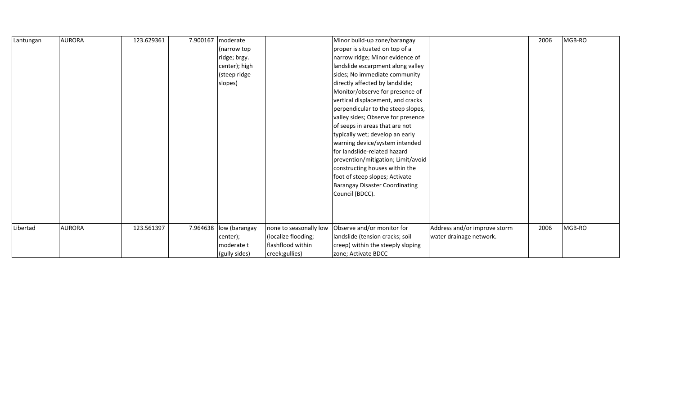| Lantungan | <b>AURORA</b> | 123.629361 | 7.900167 | moderate      |                        | Minor build-up zone/barangay          |                              | 2006 | MGB-RO |
|-----------|---------------|------------|----------|---------------|------------------------|---------------------------------------|------------------------------|------|--------|
|           |               |            |          | (narrow top   |                        | proper is situated on top of a        |                              |      |        |
|           |               |            |          | ridge; brgy.  |                        | narrow ridge; Minor evidence of       |                              |      |        |
|           |               |            |          | center); high |                        | landslide escarpment along valley     |                              |      |        |
|           |               |            |          | (steep ridge  |                        | sides; No immediate community         |                              |      |        |
|           |               |            |          | slopes)       |                        | directly affected by landslide;       |                              |      |        |
|           |               |            |          |               |                        | Monitor/observe for presence of       |                              |      |        |
|           |               |            |          |               |                        | vertical displacement, and cracks     |                              |      |        |
|           |               |            |          |               |                        | perpendicular to the steep slopes,    |                              |      |        |
|           |               |            |          |               |                        | valley sides; Observe for presence    |                              |      |        |
|           |               |            |          |               |                        | of seeps in areas that are not        |                              |      |        |
|           |               |            |          |               |                        | typically wet; develop an early       |                              |      |        |
|           |               |            |          |               |                        | warning device/system intended        |                              |      |        |
|           |               |            |          |               |                        | for landslide-related hazard          |                              |      |        |
|           |               |            |          |               |                        | prevention/mitigation; Limit/avoid    |                              |      |        |
|           |               |            |          |               |                        | constructing houses within the        |                              |      |        |
|           |               |            |          |               |                        | foot of steep slopes; Activate        |                              |      |        |
|           |               |            |          |               |                        | <b>Barangay Disaster Coordinating</b> |                              |      |        |
|           |               |            |          |               |                        | Council (BDCC).                       |                              |      |        |
|           |               |            |          |               |                        |                                       |                              |      |        |
|           |               |            |          |               |                        |                                       |                              |      |        |
|           |               |            |          |               |                        |                                       |                              |      |        |
| Libertad  | <b>AURORA</b> | 123.561397 | 7.964638 | low (barangay | none to seasonally low | Observe and/or monitor for            | Address and/or improve storm | 2006 | MGB-RO |
|           |               |            |          | center);      | (localize flooding;    | landslide (tension cracks; soil       | water drainage network.      |      |        |
|           |               |            |          | moderate t    | flashflood within      | creep) within the steeply sloping     |                              |      |        |
|           |               |            |          | (gully sides) | creek;gullies)         | zone; Activate BDCC                   |                              |      |        |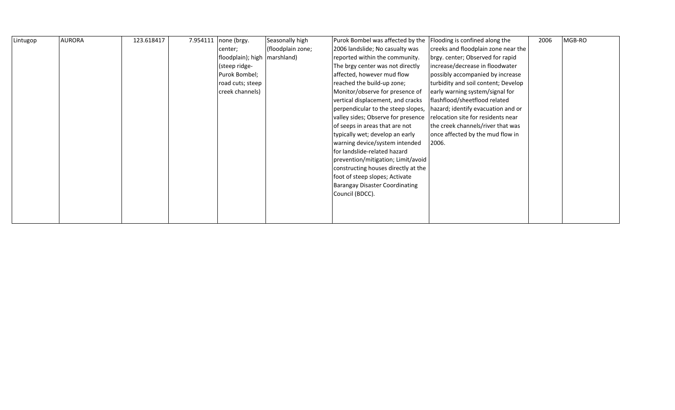| Lintugop | <b>AURORA</b> | 123.618417 | 7.954111 | none (brgy.                    | Seasonally high   | Purok Bombel was affected by the      | Flooding is confined along the      | 2006 | MGB-RO |
|----------|---------------|------------|----------|--------------------------------|-------------------|---------------------------------------|-------------------------------------|------|--------|
|          |               |            |          | center;                        | (floodplain zone; | 2006 landslide; No casualty was       | creeks and floodplain zone near the |      |        |
|          |               |            |          | floodplain); high   marshland) |                   | reported within the community.        | brgy. center; Observed for rapid    |      |        |
|          |               |            |          | (steep ridge-                  |                   | The brgy center was not directly      | increase/decrease in floodwater     |      |        |
|          |               |            |          | Purok Bombel;                  |                   | affected, however mud flow            | possibly accompanied by increase    |      |        |
|          |               |            |          | road cuts; steep               |                   | reached the build-up zone;            | turbidity and soil content; Develop |      |        |
|          |               |            |          | creek channels)                |                   | Monitor/observe for presence of       | early warning system/signal for     |      |        |
|          |               |            |          |                                |                   | vertical displacement, and cracks     | flashflood/sheetflood related       |      |        |
|          |               |            |          |                                |                   | perpendicular to the steep slopes,    | hazard; identify evacuation and or  |      |        |
|          |               |            |          |                                |                   | valley sides; Observe for presence    | relocation site for residents near  |      |        |
|          |               |            |          |                                |                   | of seeps in areas that are not        | the creek channels/river that was   |      |        |
|          |               |            |          |                                |                   | typically wet; develop an early       | once affected by the mud flow in    |      |        |
|          |               |            |          |                                |                   | warning device/system intended        | 2006.                               |      |        |
|          |               |            |          |                                |                   | for landslide-related hazard          |                                     |      |        |
|          |               |            |          |                                |                   | prevention/mitigation; Limit/avoid    |                                     |      |        |
|          |               |            |          |                                |                   | constructing houses directly at the   |                                     |      |        |
|          |               |            |          |                                |                   | foot of steep slopes; Activate        |                                     |      |        |
|          |               |            |          |                                |                   | <b>Barangay Disaster Coordinating</b> |                                     |      |        |
|          |               |            |          |                                |                   | Council (BDCC).                       |                                     |      |        |
|          |               |            |          |                                |                   |                                       |                                     |      |        |
|          |               |            |          |                                |                   |                                       |                                     |      |        |
|          |               |            |          |                                |                   |                                       |                                     |      |        |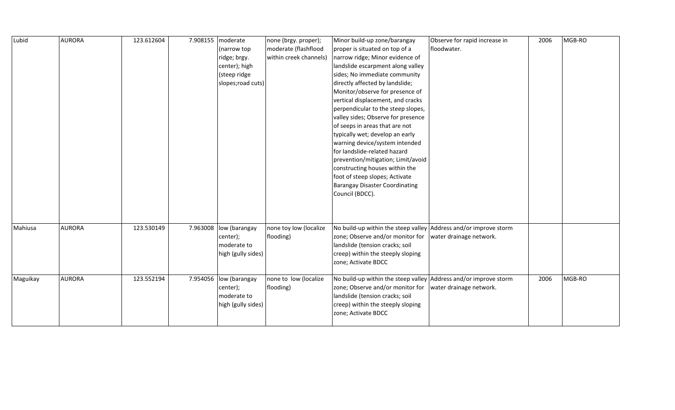| Lubid    | <b>AURORA</b> | 123.612604 | 7.908155 moderate | (narrow top<br>ridge; brgy.<br>center); high<br>(steep ridge<br>slopes; road cuts) | none (brgy. proper);<br>moderate (flashflood<br>within creek channels) | Minor build-up zone/barangay<br>proper is situated on top of a<br>narrow ridge; Minor evidence of<br>landslide escarpment along valley<br>sides; No immediate community<br>directly affected by landslide;<br>Monitor/observe for presence of<br>vertical displacement, and cracks<br>perpendicular to the steep slopes,<br>valley sides; Observe for presence<br>of seeps in areas that are not<br>typically wet; develop an early<br>warning device/system intended<br>for landslide-related hazard<br>prevention/mitigation; Limit/avoid<br>constructing houses within the<br>foot of steep slopes; Activate<br><b>Barangay Disaster Coordinating</b><br>Council (BDCC). | Observe for rapid increase in<br>floodwater. | 2006 | MGB-RO |
|----------|---------------|------------|-------------------|------------------------------------------------------------------------------------|------------------------------------------------------------------------|-----------------------------------------------------------------------------------------------------------------------------------------------------------------------------------------------------------------------------------------------------------------------------------------------------------------------------------------------------------------------------------------------------------------------------------------------------------------------------------------------------------------------------------------------------------------------------------------------------------------------------------------------------------------------------|----------------------------------------------|------|--------|
| Mahiusa  | <b>AURORA</b> | 123.530149 |                   | 7.963008 low (barangay<br>center);<br>moderate to<br>high (gully sides)            | none toy low (localize<br>flooding)                                    | No build-up within the steep valley Address and/or improve storm<br>zone; Observe and/or monitor for<br>landslide (tension cracks; soil<br>creep) within the steeply sloping<br>zone; Activate BDCC                                                                                                                                                                                                                                                                                                                                                                                                                                                                         | water drainage network.                      |      |        |
| Maguikay | <b>AURORA</b> | 123.552194 |                   | 7.954056 low (barangay<br>center);<br>moderate to<br>high (gully sides)            | none to low (localize<br>flooding)                                     | No build-up within the steep valley Address and/or improve storm<br>zone; Observe and/or monitor for<br>landslide (tension cracks; soil<br>creep) within the steeply sloping<br>zone; Activate BDCC                                                                                                                                                                                                                                                                                                                                                                                                                                                                         | water drainage network.                      | 2006 | MGB-RO |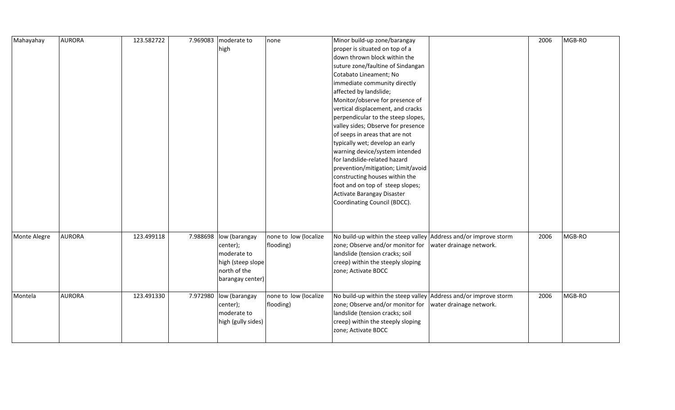| Mahayahay    | <b>AURORA</b> | 123.582722 | 7.969083 | moderate to            | none                  | Minor build-up zone/barangay                                             |                         | 2006 | MGB-RO |
|--------------|---------------|------------|----------|------------------------|-----------------------|--------------------------------------------------------------------------|-------------------------|------|--------|
|              |               |            |          | high                   |                       | proper is situated on top of a                                           |                         |      |        |
|              |               |            |          |                        |                       | down thrown block within the                                             |                         |      |        |
|              |               |            |          |                        |                       | suture zone/faultine of Sindangan                                        |                         |      |        |
|              |               |            |          |                        |                       | Cotabato Lineament; No                                                   |                         |      |        |
|              |               |            |          |                        |                       | immediate community directly                                             |                         |      |        |
|              |               |            |          |                        |                       | affected by landslide;                                                   |                         |      |        |
|              |               |            |          |                        |                       | Monitor/observe for presence of                                          |                         |      |        |
|              |               |            |          |                        |                       | vertical displacement, and cracks                                        |                         |      |        |
|              |               |            |          |                        |                       | perpendicular to the steep slopes,                                       |                         |      |        |
|              |               |            |          |                        |                       | valley sides; Observe for presence                                       |                         |      |        |
|              |               |            |          |                        |                       | of seeps in areas that are not                                           |                         |      |        |
|              |               |            |          |                        |                       | typically wet; develop an early                                          |                         |      |        |
|              |               |            |          |                        |                       | warning device/system intended                                           |                         |      |        |
|              |               |            |          |                        |                       | for landslide-related hazard                                             |                         |      |        |
|              |               |            |          |                        |                       | prevention/mitigation; Limit/avoid                                       |                         |      |        |
|              |               |            |          |                        |                       | constructing houses within the                                           |                         |      |        |
|              |               |            |          |                        |                       | foot and on top of steep slopes;                                         |                         |      |        |
|              |               |            |          |                        |                       | Activate Barangay Disaster                                               |                         |      |        |
|              |               |            |          |                        |                       | Coordinating Council (BDCC).                                             |                         |      |        |
|              |               |            |          |                        |                       |                                                                          |                         |      |        |
|              |               |            |          |                        |                       |                                                                          |                         |      |        |
|              |               |            |          |                        |                       |                                                                          |                         |      |        |
| Monte Alegre | <b>AURORA</b> | 123.499118 | 7.988698 | low (barangay          | none to low (localize | No build-up within the steep valley Address and/or improve storm         |                         | 2006 | MGB-RO |
|              |               |            |          | center);               | flooding)             | zone; Observe and/or monitor for                                         | water drainage network. |      |        |
|              |               |            |          | moderate to            |                       | landslide (tension cracks; soil                                          |                         |      |        |
|              |               |            |          | high (steep slope      |                       | creep) within the steeply sloping                                        |                         |      |        |
|              |               |            |          | north of the           |                       | zone; Activate BDCC                                                      |                         |      |        |
|              |               |            |          | barangay center)       |                       |                                                                          |                         |      |        |
|              |               |            |          |                        |                       |                                                                          |                         |      |        |
| Montela      | <b>AURORA</b> | 123.491330 |          | 7.972980 low (barangay | none to low (localize | No build-up within the steep valley $\vert$ Address and/or improve storm |                         | 2006 | MGB-RO |
|              |               |            |          | center);               | flooding)             | zone; Observe and/or monitor for                                         | water drainage network. |      |        |
|              |               |            |          | moderate to            |                       | landslide (tension cracks; soil                                          |                         |      |        |
|              |               |            |          | high (gully sides)     |                       | creep) within the steeply sloping                                        |                         |      |        |
|              |               |            |          |                        |                       | zone; Activate BDCC                                                      |                         |      |        |
|              |               |            |          |                        |                       |                                                                          |                         |      |        |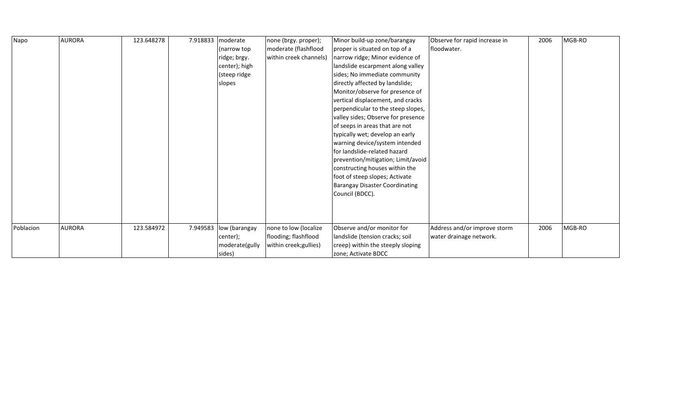| Napo      | <b>AURORA</b> | 123.648278 | 7.918833 | moderate<br>(narrow top)<br>ridge; brgy.<br>center); high<br>(steep ridge<br>slopes | none (brgy. proper);<br>moderate (flashflood<br>within creek channels)  | Minor build-up zone/barangay<br>proper is situated on top of a<br>narrow ridge; Minor evidence of<br>landslide escarpment along valley<br>sides; No immediate community<br>directly affected by landslide;<br>Monitor/observe for presence of<br>vertical displacement, and cracks<br>perpendicular to the steep slopes,<br>valley sides; Observe for presence<br>of seeps in areas that are not<br>typically wet; develop an early<br>warning device/system intended<br>lfor landslide-related hazard<br>prevention/mitigation; Limit/avoid<br>constructing houses within the<br>foot of steep slopes; Activate<br><b>Barangay Disaster Coordinating</b> | Observe for rapid increase in<br>floodwater.            | 2006 | MGB-RO |
|-----------|---------------|------------|----------|-------------------------------------------------------------------------------------|-------------------------------------------------------------------------|-----------------------------------------------------------------------------------------------------------------------------------------------------------------------------------------------------------------------------------------------------------------------------------------------------------------------------------------------------------------------------------------------------------------------------------------------------------------------------------------------------------------------------------------------------------------------------------------------------------------------------------------------------------|---------------------------------------------------------|------|--------|
|           |               |            |          |                                                                                     |                                                                         | Council (BDCC).                                                                                                                                                                                                                                                                                                                                                                                                                                                                                                                                                                                                                                           |                                                         |      |        |
| Poblacion | <b>AURORA</b> | 123.584972 | 7.949583 | low (barangay<br>center);<br>moderate(gully<br>sides)                               | none to low (localize<br>flooding; flashflood<br>within creek; gullies) | Observe and/or monitor for<br>landslide (tension cracks; soil<br>creep) within the steeply sloping<br>zone; Activate BDCC                                                                                                                                                                                                                                                                                                                                                                                                                                                                                                                                 | Address and/or improve storm<br>water drainage network. | 2006 | MGB-RO |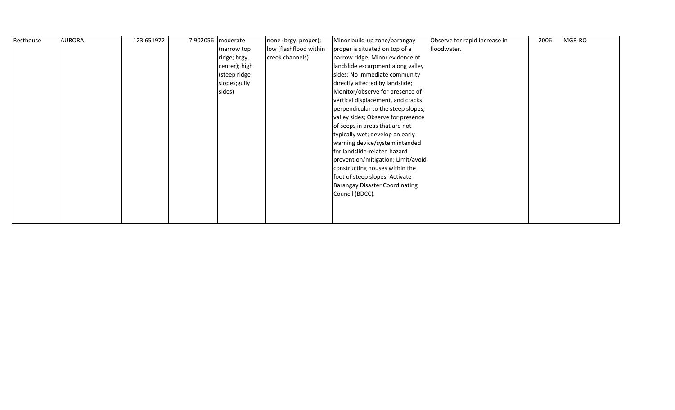| Resthouse | <b>AURORA</b> | 123.651972 | 7.902056 moderate | none (brgy. proper);   | Minor build-up zone/barangay          | Observe for rapid increase in | 2006 | MGB-RO |
|-----------|---------------|------------|-------------------|------------------------|---------------------------------------|-------------------------------|------|--------|
|           |               |            | (narrow top       | low (flashflood within | proper is situated on top of a        | floodwater.                   |      |        |
|           |               |            | ridge; brgy.      | creek channels)        | narrow ridge; Minor evidence of       |                               |      |        |
|           |               |            | center); high     |                        | landslide escarpment along valley     |                               |      |        |
|           |               |            | (steep ridge      |                        | sides; No immediate community         |                               |      |        |
|           |               |            | slopes;gully      |                        | directly affected by landslide;       |                               |      |        |
|           |               |            | sides)            |                        | Monitor/observe for presence of       |                               |      |        |
|           |               |            |                   |                        | vertical displacement, and cracks     |                               |      |        |
|           |               |            |                   |                        | perpendicular to the steep slopes,    |                               |      |        |
|           |               |            |                   |                        | valley sides; Observe for presence    |                               |      |        |
|           |               |            |                   |                        | of seeps in areas that are not        |                               |      |        |
|           |               |            |                   |                        | typically wet; develop an early       |                               |      |        |
|           |               |            |                   |                        | warning device/system intended        |                               |      |        |
|           |               |            |                   |                        | for landslide-related hazard          |                               |      |        |
|           |               |            |                   |                        | prevention/mitigation; Limit/avoid    |                               |      |        |
|           |               |            |                   |                        | constructing houses within the        |                               |      |        |
|           |               |            |                   |                        | foot of steep slopes; Activate        |                               |      |        |
|           |               |            |                   |                        | <b>Barangay Disaster Coordinating</b> |                               |      |        |
|           |               |            |                   |                        | Council (BDCC).                       |                               |      |        |
|           |               |            |                   |                        |                                       |                               |      |        |
|           |               |            |                   |                        |                                       |                               |      |        |
|           |               |            |                   |                        |                                       |                               |      |        |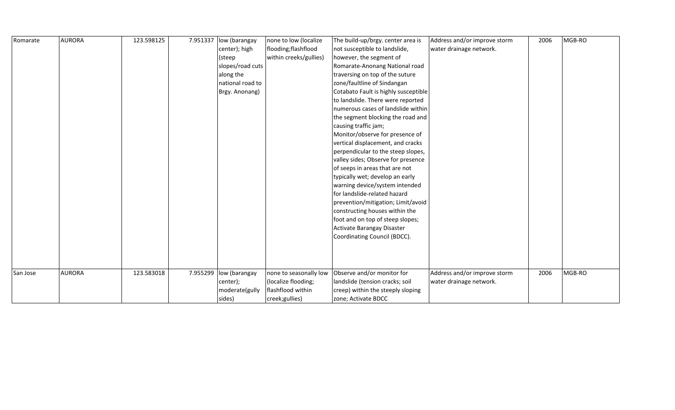| Romarate | <b>AURORA</b> | 123.598125 | 7.951337 | low (barangay          | none to low (localize  | The build-up/brgy. center area is    | Address and/or improve storm | 2006 | MGB-RO |
|----------|---------------|------------|----------|------------------------|------------------------|--------------------------------------|------------------------------|------|--------|
|          |               |            |          | center); high          | flooding;flashflood    | not susceptible to landslide,        | water drainage network.      |      |        |
|          |               |            |          | (steep                 | within creeks/gullies) | however, the segment of              |                              |      |        |
|          |               |            |          | slopes/road cuts       |                        | Romarate-Anonang National road       |                              |      |        |
|          |               |            |          | along the              |                        | traversing on top of the suture      |                              |      |        |
|          |               |            |          | national road to       |                        | zone/faultline of Sindangan          |                              |      |        |
|          |               |            |          | Brgy. Anonang)         |                        | Cotabato Fault is highly susceptible |                              |      |        |
|          |               |            |          |                        |                        | to landslide. There were reported    |                              |      |        |
|          |               |            |          |                        |                        | numerous cases of landslide within   |                              |      |        |
|          |               |            |          |                        |                        | the segment blocking the road and    |                              |      |        |
|          |               |            |          |                        |                        | causing traffic jam;                 |                              |      |        |
|          |               |            |          |                        |                        | Monitor/observe for presence of      |                              |      |        |
|          |               |            |          |                        |                        | vertical displacement, and cracks    |                              |      |        |
|          |               |            |          |                        |                        | perpendicular to the steep slopes,   |                              |      |        |
|          |               |            |          |                        |                        | valley sides; Observe for presence   |                              |      |        |
|          |               |            |          |                        |                        | of seeps in areas that are not       |                              |      |        |
|          |               |            |          |                        |                        | typically wet; develop an early      |                              |      |        |
|          |               |            |          |                        |                        | warning device/system intended       |                              |      |        |
|          |               |            |          |                        |                        | for landslide-related hazard         |                              |      |        |
|          |               |            |          |                        |                        | prevention/mitigation; Limit/avoid   |                              |      |        |
|          |               |            |          |                        |                        | constructing houses within the       |                              |      |        |
|          |               |            |          |                        |                        | foot and on top of steep slopes;     |                              |      |        |
|          |               |            |          |                        |                        | Activate Barangay Disaster           |                              |      |        |
|          |               |            |          |                        |                        | Coordinating Council (BDCC).         |                              |      |        |
|          |               |            |          |                        |                        |                                      |                              |      |        |
|          |               |            |          |                        |                        |                                      |                              |      |        |
|          |               |            |          |                        |                        |                                      |                              |      |        |
| San Jose | <b>AURORA</b> | 123.583018 |          | 7.955299 low (barangay | none to seasonally low | Observe and/or monitor for           | Address and/or improve storm | 2006 | MGB-RO |
|          |               |            |          | center);               | (localize flooding;    | landslide (tension cracks; soil      | water drainage network.      |      |        |
|          |               |            |          | moderate(gully         | flashflood within      | creep) within the steeply sloping    |                              |      |        |
|          |               |            |          | sides)                 | creek;gullies)         | zone; Activate BDCC                  |                              |      |        |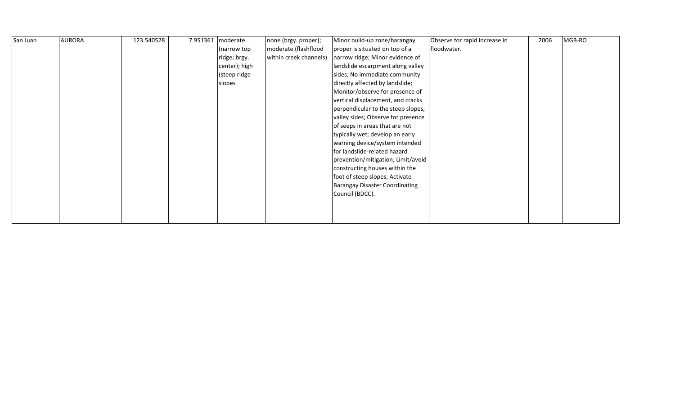| San Juan | <b>AURORA</b> | 123.540528 | 7.951361   moderate | none (brgy. proper);   | Minor build-up zone/barangay          | Observe for rapid increase in | 2006 | MGB-RO |
|----------|---------------|------------|---------------------|------------------------|---------------------------------------|-------------------------------|------|--------|
|          |               |            | (narrow top         | moderate (flashflood   | proper is situated on top of a        | floodwater.                   |      |        |
|          |               |            | ridge; brgy.        | within creek channels) | narrow ridge; Minor evidence of       |                               |      |        |
|          |               |            | center); high       |                        | landslide escarpment along valley     |                               |      |        |
|          |               |            | (steep ridge        |                        | sides; No immediate community         |                               |      |        |
|          |               |            | slopes              |                        | directly affected by landslide;       |                               |      |        |
|          |               |            |                     |                        | Monitor/observe for presence of       |                               |      |        |
|          |               |            |                     |                        | vertical displacement, and cracks     |                               |      |        |
|          |               |            |                     |                        | perpendicular to the steep slopes,    |                               |      |        |
|          |               |            |                     |                        | valley sides; Observe for presence    |                               |      |        |
|          |               |            |                     |                        | of seeps in areas that are not        |                               |      |        |
|          |               |            |                     |                        | typically wet; develop an early       |                               |      |        |
|          |               |            |                     |                        | warning device/system intended        |                               |      |        |
|          |               |            |                     |                        | for landslide-related hazard          |                               |      |        |
|          |               |            |                     |                        | prevention/mitigation; Limit/avoid    |                               |      |        |
|          |               |            |                     |                        | constructing houses within the        |                               |      |        |
|          |               |            |                     |                        | foot of steep slopes; Activate        |                               |      |        |
|          |               |            |                     |                        | <b>Barangay Disaster Coordinating</b> |                               |      |        |
|          |               |            |                     |                        | Council (BDCC).                       |                               |      |        |
|          |               |            |                     |                        |                                       |                               |      |        |
|          |               |            |                     |                        |                                       |                               |      |        |
|          |               |            |                     |                        |                                       |                               |      |        |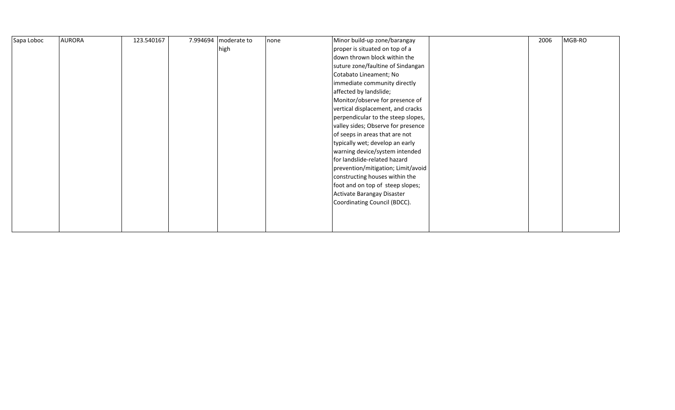| Sapa Loboc | <b>AURORA</b> | 123.540167 | 7.994694   moderate to | none | Minor build-up zone/barangay       | 2006 | MGB-RO |
|------------|---------------|------------|------------------------|------|------------------------------------|------|--------|
|            |               |            | high                   |      | proper is situated on top of a     |      |        |
|            |               |            |                        |      | down thrown block within the       |      |        |
|            |               |            |                        |      | suture zone/faultine of Sindangan  |      |        |
|            |               |            |                        |      | Cotabato Lineament; No             |      |        |
|            |               |            |                        |      | immediate community directly       |      |        |
|            |               |            |                        |      | affected by landslide;             |      |        |
|            |               |            |                        |      | Monitor/observe for presence of    |      |        |
|            |               |            |                        |      | vertical displacement, and cracks  |      |        |
|            |               |            |                        |      | perpendicular to the steep slopes, |      |        |
|            |               |            |                        |      | valley sides; Observe for presence |      |        |
|            |               |            |                        |      | of seeps in areas that are not     |      |        |
|            |               |            |                        |      | typically wet; develop an early    |      |        |
|            |               |            |                        |      | warning device/system intended     |      |        |
|            |               |            |                        |      | for landslide-related hazard       |      |        |
|            |               |            |                        |      | prevention/mitigation; Limit/avoid |      |        |
|            |               |            |                        |      | constructing houses within the     |      |        |
|            |               |            |                        |      | foot and on top of steep slopes;   |      |        |
|            |               |            |                        |      | Activate Barangay Disaster         |      |        |
|            |               |            |                        |      | Coordinating Council (BDCC).       |      |        |
|            |               |            |                        |      |                                    |      |        |
|            |               |            |                        |      |                                    |      |        |
|            |               |            |                        |      |                                    |      |        |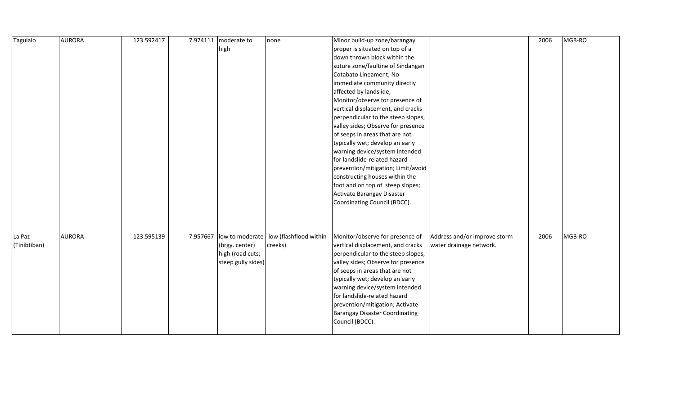| Tagulalo     | <b>AURORA</b> | 123.592417 |          | 7.974111   moderate to | none                                     | Minor build-up zone/barangay          |                              | 2006 | MGB-RO |
|--------------|---------------|------------|----------|------------------------|------------------------------------------|---------------------------------------|------------------------------|------|--------|
|              |               |            |          | high                   |                                          | proper is situated on top of a        |                              |      |        |
|              |               |            |          |                        |                                          | down thrown block within the          |                              |      |        |
|              |               |            |          |                        |                                          | suture zone/faultine of Sindangan     |                              |      |        |
|              |               |            |          |                        |                                          | Cotabato Lineament; No                |                              |      |        |
|              |               |            |          |                        |                                          | immediate community directly          |                              |      |        |
|              |               |            |          |                        |                                          | affected by landslide;                |                              |      |        |
|              |               |            |          |                        |                                          | Monitor/observe for presence of       |                              |      |        |
|              |               |            |          |                        |                                          | vertical displacement, and cracks     |                              |      |        |
|              |               |            |          |                        |                                          | perpendicular to the steep slopes,    |                              |      |        |
|              |               |            |          |                        |                                          | valley sides; Observe for presence    |                              |      |        |
|              |               |            |          |                        |                                          | of seeps in areas that are not        |                              |      |        |
|              |               |            |          |                        |                                          | typically wet; develop an early       |                              |      |        |
|              |               |            |          |                        |                                          | warning device/system intended        |                              |      |        |
|              |               |            |          |                        |                                          | for landslide-related hazard          |                              |      |        |
|              |               |            |          |                        |                                          | prevention/mitigation; Limit/avoid    |                              |      |        |
|              |               |            |          |                        |                                          | constructing houses within the        |                              |      |        |
|              |               |            |          |                        |                                          | foot and on top of steep slopes;      |                              |      |        |
|              |               |            |          |                        |                                          | Activate Barangay Disaster            |                              |      |        |
|              |               |            |          |                        |                                          | Coordinating Council (BDCC).          |                              |      |        |
|              |               |            |          |                        |                                          |                                       |                              |      |        |
|              |               |            |          |                        |                                          |                                       |                              |      |        |
|              |               |            |          |                        |                                          |                                       |                              |      |        |
| La Paz       | <b>AURORA</b> | 123.595139 | 7.957667 |                        | low to moderate   low (flashflood within | Monitor/observe for presence of       | Address and/or improve storm | 2006 | MGB-RO |
| (Tinibtiban) |               |            |          | (brgy. center)         | creeks)                                  | vertical displacement, and cracks     | water drainage network.      |      |        |
|              |               |            |          | high (road cuts;       |                                          | perpendicular to the steep slopes,    |                              |      |        |
|              |               |            |          | steep gully sides)     |                                          | valley sides; Observe for presence    |                              |      |        |
|              |               |            |          |                        |                                          | of seeps in areas that are not        |                              |      |        |
|              |               |            |          |                        |                                          | typically wet; develop an early       |                              |      |        |
|              |               |            |          |                        |                                          | warning device/system intended        |                              |      |        |
|              |               |            |          |                        |                                          | for landslide-related hazard          |                              |      |        |
|              |               |            |          |                        |                                          | prevention/mitigation; Activate       |                              |      |        |
|              |               |            |          |                        |                                          | <b>Barangay Disaster Coordinating</b> |                              |      |        |
|              |               |            |          |                        |                                          | Council (BDCC).                       |                              |      |        |
|              |               |            |          |                        |                                          |                                       |                              |      |        |